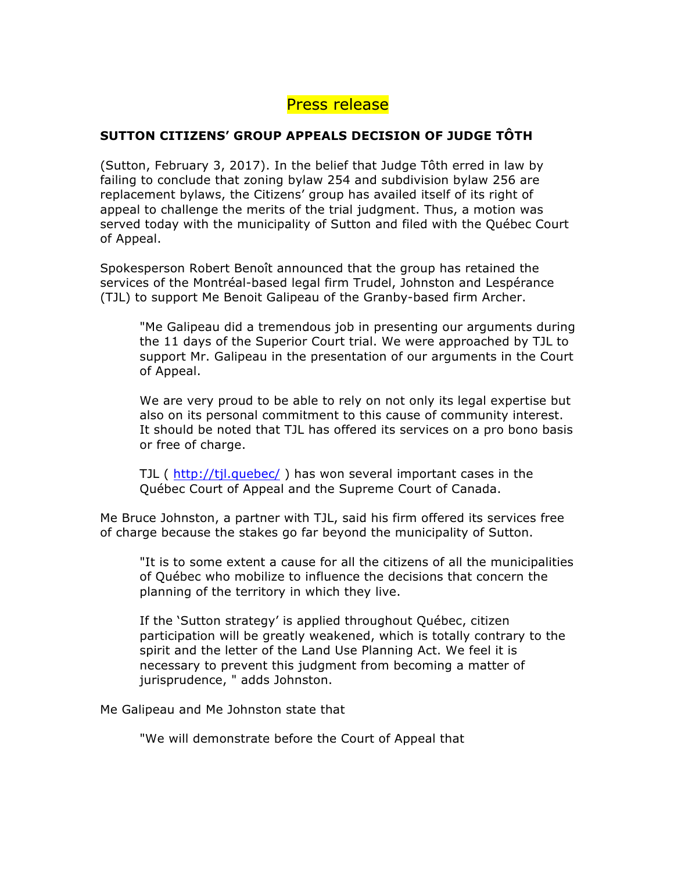## Press release

## **SUTTON CITIZENS' GROUP APPEALS DECISION OF JUDGE TÔTH**

(Sutton, February 3, 2017). In the belief that Judge Tôth erred in law by failing to conclude that zoning bylaw 254 and subdivision bylaw 256 are replacement bylaws, the Citizens' group has availed itself of its right of appeal to challenge the merits of the trial judgment. Thus, a motion was served today with the municipality of Sutton and filed with the Québec Court of Appeal.

Spokesperson Robert Benoît announced that the group has retained the services of the Montréal-based legal firm Trudel, Johnston and Lespérance (TJL) to support Me Benoit Galipeau of the Granby-based firm Archer.

"Me Galipeau did a tremendous job in presenting our arguments during the 11 days of the Superior Court trial. We were approached by TJL to support Mr. Galipeau in the presentation of our arguments in the Court of Appeal.

We are very proud to be able to rely on not only its legal expertise but also on its personal commitment to this cause of community interest. It should be noted that TJL has offered its services on a pro bono basis or free of charge.

TJL ( http://tjl.quebec/ ) has won several important cases in the Québec Court of Appeal and the Supreme Court of Canada.

Me Bruce Johnston, a partner with TJL, said his firm offered its services free of charge because the stakes go far beyond the municipality of Sutton.

"It is to some extent a cause for all the citizens of all the municipalities of Québec who mobilize to influence the decisions that concern the planning of the territory in which they live.

If the 'Sutton strategy' is applied throughout Québec, citizen participation will be greatly weakened, which is totally contrary to the spirit and the letter of the Land Use Planning Act. We feel it is necessary to prevent this judgment from becoming a matter of jurisprudence, " adds Johnston.

Me Galipeau and Me Johnston state that

"We will demonstrate before the Court of Appeal that